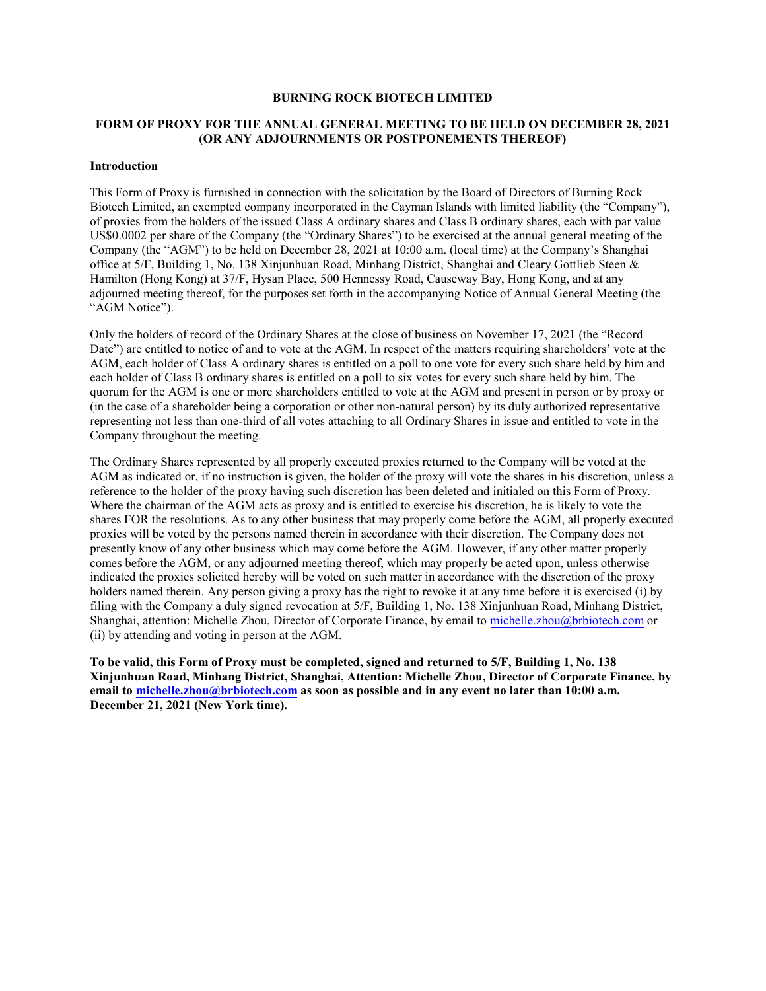#### **BURNING ROCK BIOTECH LIMITED**

# **FORM OF PROXY FOR THE ANNUAL GENERAL MEETING TO BE HELD ON DECEMBER 28, 2021 (OR ANY ADJOURNMENTS OR POSTPONEMENTS THEREOF)**

### **Introduction**

This Form of Proxy is furnished in connection with the solicitation by the Board of Directors of Burning Rock Biotech Limited, an exempted company incorporated in the Cayman Islands with limited liability (the "Company"), of proxies from the holders of the issued Class A ordinary shares and Class B ordinary shares, each with par value US\$0.0002 per share of the Company (the "Ordinary Shares") to be exercised at the annual general meeting of the Company (the "AGM") to be held on December 28, 2021 at 10:00 a.m. (local time) at the Company's Shanghai office at 5/F, Building 1, No. 138 Xinjunhuan Road, Minhang District, Shanghai and Cleary Gottlieb Steen & Hamilton (Hong Kong) at 37/F, Hysan Place, 500 Hennessy Road, Causeway Bay, Hong Kong, and at any adjourned meeting thereof, for the purposes set forth in the accompanying Notice of Annual General Meeting (the "AGM Notice").

Only the holders of record of the Ordinary Shares at the close of business on November 17, 2021 (the "Record Date") are entitled to notice of and to vote at the AGM. In respect of the matters requiring shareholders' vote at the AGM, each holder of Class A ordinary shares is entitled on a poll to one vote for every such share held by him and each holder of Class B ordinary shares is entitled on a poll to six votes for every such share held by him. The quorum for the AGM is one or more shareholders entitled to vote at the AGM and present in person or by proxy or (in the case of a shareholder being a corporation or other non-natural person) by its duly authorized representative representing not less than one-third of all votes attaching to all Ordinary Shares in issue and entitled to vote in the Company throughout the meeting.

The Ordinary Shares represented by all properly executed proxies returned to the Company will be voted at the AGM as indicated or, if no instruction is given, the holder of the proxy will vote the shares in his discretion, unless a reference to the holder of the proxy having such discretion has been deleted and initialed on this Form of Proxy. Where the chairman of the AGM acts as proxy and is entitled to exercise his discretion, he is likely to vote the shares FOR the resolutions. As to any other business that may properly come before the AGM, all properly executed proxies will be voted by the persons named therein in accordance with their discretion. The Company does not presently know of any other business which may come before the AGM. However, if any other matter properly comes before the AGM, or any adjourned meeting thereof, which may properly be acted upon, unless otherwise indicated the proxies solicited hereby will be voted on such matter in accordance with the discretion of the proxy holders named therein. Any person giving a proxy has the right to revoke it at any time before it is exercised (i) by filing with the Company a duly signed revocation at 5/F, Building 1, No. 138 Xinjunhuan Road, Minhang District, Shanghai, attention: Michelle Zhou, Director of Corporate Finance, by email to [michelle.zhou@brbiotech.com](mailto:michelle.zhou@brbiotech.com) or (ii) by attending and voting in person at the AGM.

**To be valid, this Form of Proxy must be completed, signed and returned to 5/F, Building 1, No. 138 Xinjunhuan Road, Minhang District, Shanghai, Attention: Michelle Zhou, Director of Corporate Finance, by email to [michelle.zhou@brbiotech.com](mailto:michelle.zhou@brbiotech.com) as soon as possible and in any event no later than 10:00 a.m. December 21, 2021 (New York time).**